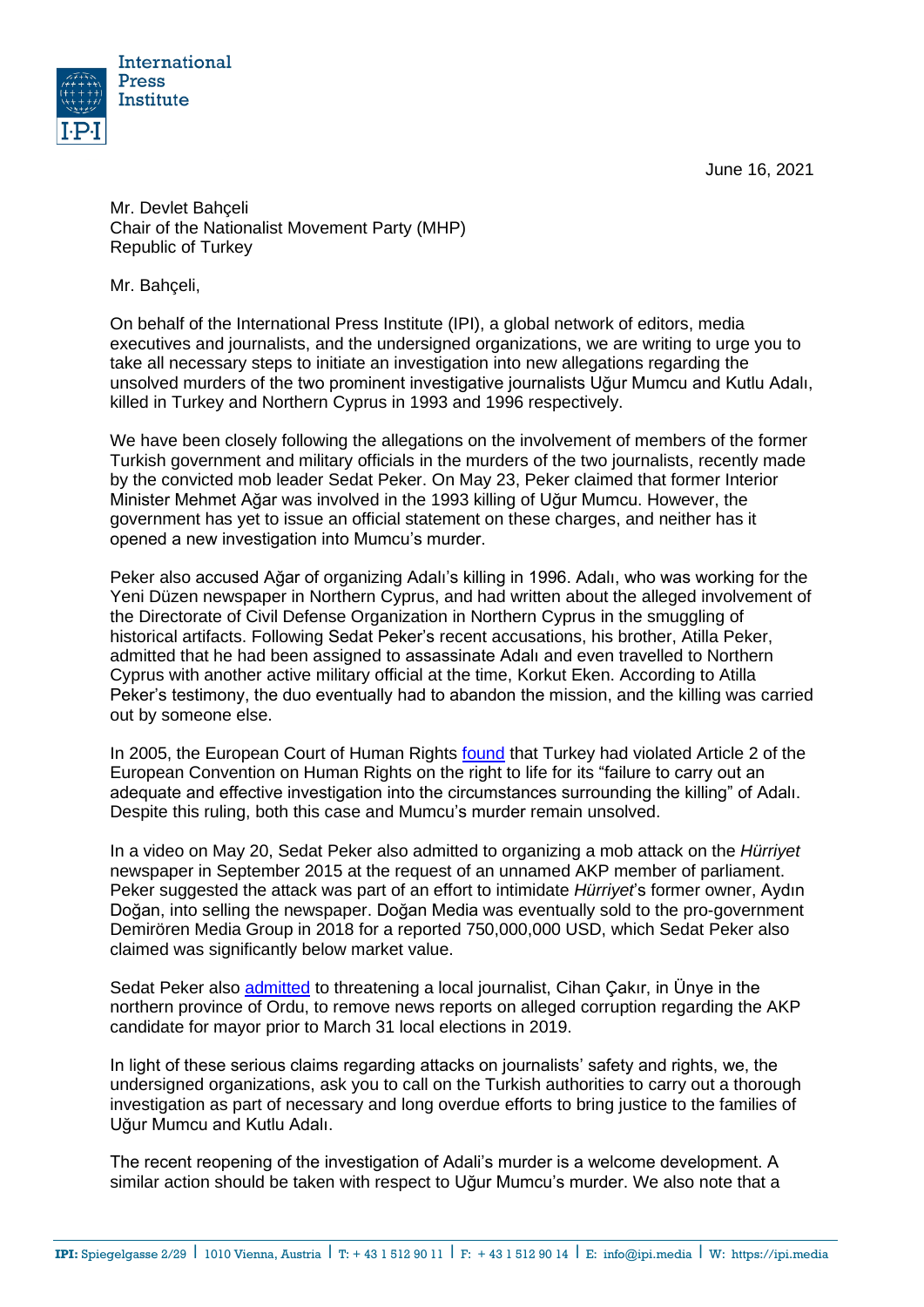June 16, 2021



Mr. Devlet Bahçeli Chair of the Nationalist Movement Party (MHP) Republic of Turkey

Mr. Bahçeli,

On behalf of the International Press Institute (IPI), a global network of editors, media executives and journalists, and the undersigned organizations, we are writing to urge you to take all necessary steps to initiate an investigation into new allegations regarding the unsolved murders of the two prominent investigative journalists Uğur Mumcu and Kutlu Adalı, killed in Turkey and Northern Cyprus in 1993 and 1996 respectively.

We have been closely following the allegations on the involvement of members of the former Turkish government and military officials in the murders of the two journalists, recently made by the convicted mob leader Sedat Peker. On May 23, Peker claimed that former Interior Minister Mehmet Ağar was involved in the 1993 killing of Uğur Mumcu. However, the government has yet to issue an official statement on these charges, and neither has it opened a new investigation into Mumcu's murder.

Peker also accused Ağar of organizing Adalı's killing in 1996. Adalı, who was working for the Yeni Düzen newspaper in Northern Cyprus, and had written about the alleged involvement of the Directorate of Civil Defense Organization in Northern Cyprus in the smuggling of historical artifacts. Following Sedat Peker's recent accusations, his brother, Atilla Peker, admitted that he had been assigned to assassinate Adalı and even travelled to Northern Cyprus with another active military official at the time, Korkut Eken. According to Atilla Peker's testimony, the duo eventually had to abandon the mission, and the killing was carried out by someone else.

In 2005, the European Court of Human Rights [found](http://hudoc.echr.coe.int/eng?i=001-68670) that Turkey had violated Article 2 of the European Convention on Human Rights on the right to life for its "failure to carry out an adequate and effective investigation into the circumstances surrounding the killing" of Adalı. Despite this ruling, both this case and Mumcu's murder remain unsolved.

In a video on May 20, Sedat Peker also admitted to organizing a [mob attack](https://freeturkeyjournalists.ipi.media/ipi-condemns-mob-attack-on-turkish-daily-criminal-charges/) on the *Hürriyet* newspaper in September 2015 at the request of an unnamed AKP member of parliament. Peker suggested the attack was part of an effort to intimidate *Hürriyet*'s former owner, Aydın Doğan, into selling the newspaper. Doğan Media was eventually sold to the pro-government Demirören Media Group in 2018 for a reported 750,000,000 USD, which Sedat Peker also claimed was significantly below market value.

Sedat Peker also [admitted](https://www.gazeteduvar.com.tr/gazeteci-cakir-sedat-peker-gecmiste-yazdigim-haberi-kaldirtmak-istedi-haber-1524621) to threatening a local journalist, Cihan Çakır, in Ünye in the northern province of Ordu, to remove news reports on alleged corruption regarding the AKP candidate for mayor prior to March 31 local elections in 2019.

In light of these serious claims regarding attacks on journalists' safety and rights, we, the undersigned organizations, ask you to call on the Turkish authorities to carry out a thorough investigation as part of necessary and long overdue efforts to bring justice to the families of Uğur Mumcu and Kutlu Adalı.

The recent reopening of the investigation of Adali's murder is a welcome development. A similar action should be taken with respect to Uğur Mumcu's murder. We also note that a